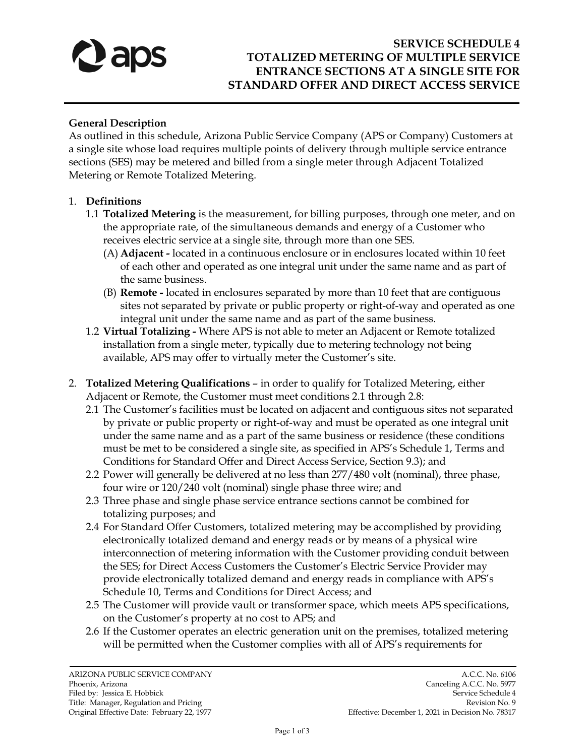

# **SERVICE SCHEDULE 4 TOTALIZED METERING OF MULTIPLE SERVICE ENTRANCE SECTIONS AT A SINGLE SITE FOR STANDARD OFFER AND DIRECT ACCESS SERVICE**

#### **General Description**

As outlined in this schedule, Arizona Public Service Company (APS or Company) Customers at a single site whose load requires multiple points of delivery through multiple service entrance sections (SES) may be metered and billed from a single meter through Adjacent Totalized Metering or Remote Totalized Metering.

#### 1. **Definitions**

- 1.1 **Totalized Metering** is the measurement, for billing purposes, through one meter, and on the appropriate rate, of the simultaneous demands and energy of a Customer who receives electric service at a single site, through more than one SES.
	- (A) **Adjacent** located in a continuous enclosure or in enclosures located within 10 feet of each other and operated as one integral unit under the same name and as part of the same business.
	- (B) **Remote** located in enclosures separated by more than 10 feet that are contiguous sites not separated by private or public property or right-of-way and operated as one integral unit under the same name and as part of the same business.
- 1.2 **Virtual Totalizing** Where APS is not able to meter an Adjacent or Remote totalized installation from a single meter, typically due to metering technology not being available, APS may offer to virtually meter the Customer's site.
- 2. **Totalized Metering Qualifications**  in order to qualify for Totalized Metering, either Adjacent or Remote, the Customer must meet conditions 2.1 through 2.8:
	- 2.1 The Customer's facilities must be located on adjacent and contiguous sites not separated by private or public property or right-of-way and must be operated as one integral unit under the same name and as a part of the same business or residence (these conditions must be met to be considered a single site, as specified in APS's Schedule 1, Terms and Conditions for Standard Offer and Direct Access Service, Section 9.3); and
	- 2.2 Power will generally be delivered at no less than 277/480 volt (nominal), three phase, four wire or 120/240 volt (nominal) single phase three wire; and
	- 2.3 Three phase and single phase service entrance sections cannot be combined for totalizing purposes; and
	- 2.4 For Standard Offer Customers, totalized metering may be accomplished by providing electronically totalized demand and energy reads or by means of a physical wire interconnection of metering information with the Customer providing conduit between the SES; for Direct Access Customers the Customer's Electric Service Provider may provide electronically totalized demand and energy reads in compliance with APS's Schedule 10, Terms and Conditions for Direct Access; and
	- 2.5 The Customer will provide vault or transformer space, which meets APS specifications, on the Customer's property at no cost to APS; and
	- 2.6 If the Customer operates an electric generation unit on the premises, totalized metering will be permitted when the Customer complies with all of APS's requirements for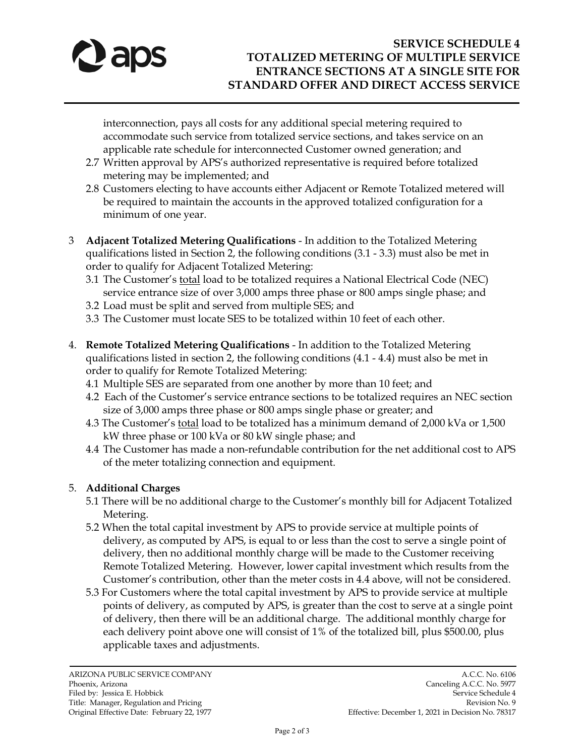

interconnection, pays all costs for any additional special metering required to accommodate such service from totalized service sections, and takes service on an applicable rate schedule for interconnected Customer owned generation; and

- 2.7 Written approval by APS's authorized representative is required before totalized metering may be implemented; and
- 2.8 Customers electing to have accounts either Adjacent or Remote Totalized metered will be required to maintain the accounts in the approved totalized configuration for a minimum of one year.
- 3 **Adjacent Totalized Metering Qualifications** In addition to the Totalized Metering qualifications listed in Section 2, the following conditions (3.1 - 3.3) must also be met in order to qualify for Adjacent Totalized Metering:
	- 3.1 The Customer's total load to be totalized requires a National Electrical Code (NEC) service entrance size of over 3,000 amps three phase or 800 amps single phase; and
	- 3.2 Load must be split and served from multiple SES; and
	- 3.3 The Customer must locate SES to be totalized within 10 feet of each other.
- 4. **Remote Totalized Metering Qualifications** In addition to the Totalized Metering qualifications listed in section 2, the following conditions (4.1 - 4.4) must also be met in order to qualify for Remote Totalized Metering:
	- 4.1 Multiple SES are separated from one another by more than 10 feet; and
	- 4.2 Each of the Customer's service entrance sections to be totalized requires an NEC section size of 3,000 amps three phase or 800 amps single phase or greater; and
	- 4.3 The Customer's total load to be totalized has a minimum demand of 2,000 kVa or 1,500 kW three phase or 100 kVa or 80 kW single phase; and
	- 4.4 The Customer has made a non-refundable contribution for the net additional cost to APS of the meter totalizing connection and equipment.

## 5. **Additional Charges**

- 5.1 There will be no additional charge to the Customer's monthly bill for Adjacent Totalized Metering.
- 5.2 When the total capital investment by APS to provide service at multiple points of delivery, as computed by APS, is equal to or less than the cost to serve a single point of delivery, then no additional monthly charge will be made to the Customer receiving Remote Totalized Metering. However, lower capital investment which results from the Customer's contribution, other than the meter costs in 4.4 above, will not be considered.
- 5.3 For Customers where the total capital investment by APS to provide service at multiple points of delivery, as computed by APS, is greater than the cost to serve at a single point of delivery, then there will be an additional charge. The additional monthly charge for each delivery point above one will consist of 1% of the totalized bill, plus \$500.00, plus applicable taxes and adjustments.